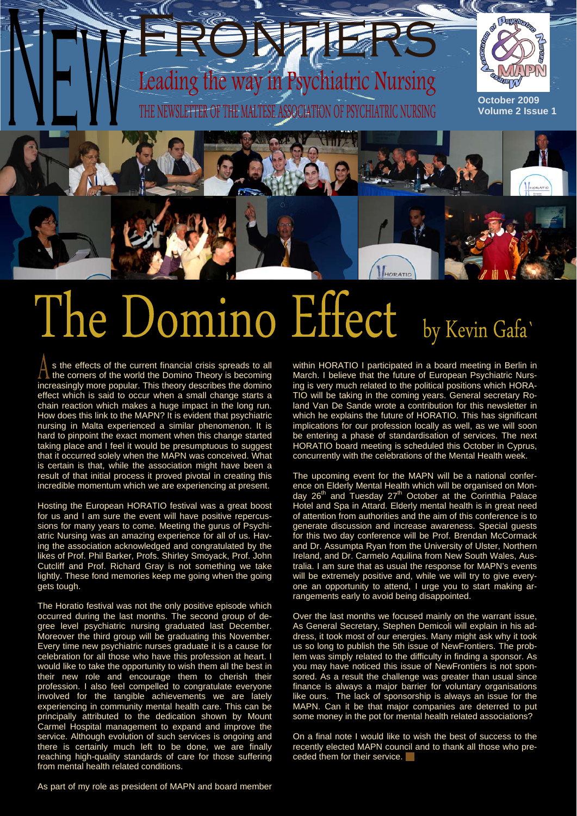# way in Psychiatric Nursing



ß

Guilter



**Volume 2 Issue 1** 

## The Domino Effect by Kevin Gafa'

s the effects of the current financial crisis spreads to all the corners of the world the Domino Theory is becoming increasingly more popular. This theory describes the domino effect which is said to occur when a small change starts a chain reaction which makes a huge impact in the long run. How does this link to the MAPN? It is evident that psychiatric nursing in Malta experienced a similar phenomenon. It is hard to pinpoint the exact moment when this change started taking place and I feel it would be presumptuous to suggest that it occurred solely when the MAPN was conceived. What is certain is that, while the association might have been a result of that initial process it proved pivotal in creating this incredible momentum which we are experiencing at present.

Hosting the European HORATIO festival was a great boost for us and I am sure the event will have positive repercussions for many years to come. Meeting the gurus of Psychiatric Nursing was an amazing experience for all of us. Having the association acknowledged and congratulated by the likes of Prof. Phil Barker, Profs. Shirley Smoyack, Prof. John Cutcliff and Prof. Richard Gray is not something we take lightly. These fond memories keep me going when the going gets tough.

The Horatio festival was not the only positive episode which occurred during the last months. The second group of degree level psychiatric nursing graduated last December. Moreover the third group will be graduating this November. Every time new psychiatric nurses graduate it is a cause for celebration for all those who have this profession at heart. I would like to take the opportunity to wish them all the best in their new role and encourage them to cherish their profession. I also feel compelled to congratulate everyone involved for the tangible achievements we are lately experiencing in community mental health care. This can be principally attributed to the dedication shown by Mount Carmel Hospital management to expand and improve the service. Although evolution of such services is ongoing and there is certainly much left to be done, we are finally reaching high-quality standards of care for those suffering from mental health related conditions.

within HORATIO I participated in a board meeting in Berlin in March. I believe that the future of European Psychiatric Nursing is very much related to the political positions which HORA-TIO will be taking in the coming years. General secretary Roland Van De Sande wrote a contribution for this newsletter in which he explains the future of HORATIO. This has significant implications for our profession locally as well, as we will soon be entering a phase of standardisation of services. The next HORATIO board meeting is scheduled this October in Cyprus, concurrently with the celebrations of the Mental Health week.

HORATIC

The upcoming event for the MAPN will be a national conference on Elderly Mental Health which will be organised on Monday 26<sup>th</sup> and Tuesday 27<sup>th</sup> October at the Corinthia Palace Hotel and Spa in Attard. Elderly mental health is in great need of attention from authorities and the aim of this conference is to generate discussion and increase awareness. Special guests for this two day conference will be Prof. Brendan McCormack and Dr. Assumpta Ryan from the University of Ulster, Northern Ireland, and Dr. Carmelo Aquilina from New South Wales, Australia. I am sure that as usual the response for MAPN's events will be extremely positive and, while we will try to give everyone an opportunity to attend, I urge you to start making arrangements early to avoid being disappointed.

Over the last months we focused mainly on the warrant issue, As General Secretary, Stephen Demicoli will explain in his address, it took most of our energies. Many might ask why it took us so long to publish the 5th issue of NewFrontiers. The problem was simply related to the difficulty in finding a sponsor. As you may have noticed this issue of NewFrontiers is not sponsored. As a result the challenge was greater than usual since finance is always a major barrier for voluntary organisations like ours. The lack of sponsorship is always an issue for the MAPN. Can it be that major companies are deterred to put some money in the pot for mental health related associations?

On a final note I would like to wish the best of success to the recently elected MAPN council and to thank all those who preceded them for their service.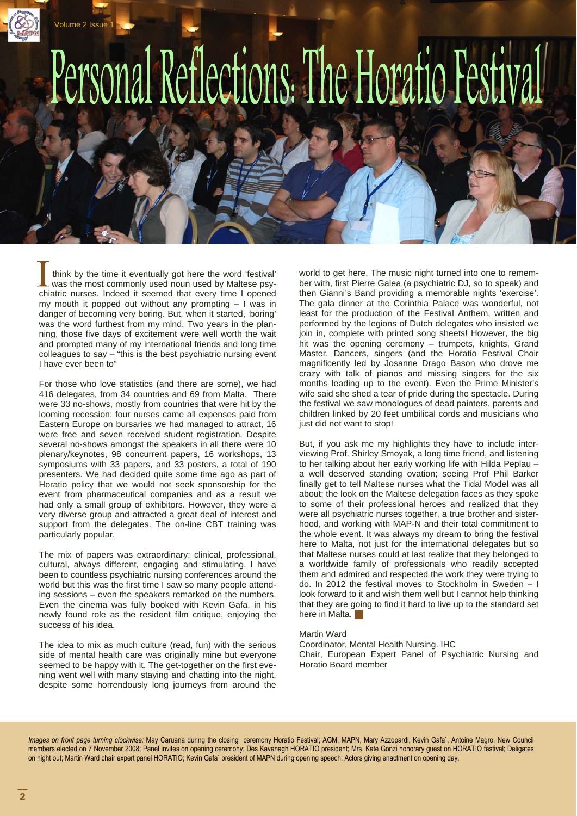

 think by the time it eventually got here the word 'festival' was the most commonly used noun used by Maltese psychiatric nurses. Indeed it seemed that every time I opened my mouth it popped out without any prompting – I was in danger of becoming very boring. But, when it started, 'boring' was the word furthest from my mind. Two years in the planning, those five days of excitement were well worth the wait and prompted many of my international friends and long time colleagues to say – "this is the best psychiatric nursing event I have ever been to"

For those who love statistics (and there are some), we had 416 delegates, from 34 countries and 69 from Malta. There were 33 no-shows, mostly from countries that were hit by the looming recession; four nurses came all expenses paid from Eastern Europe on bursaries we had managed to attract, 16 were free and seven received student registration. Despite several no-shows amongst the speakers in all there were 10 plenary/keynotes, 98 concurrent papers, 16 workshops, 13 symposiums with 33 papers, and 33 posters, a total of 190 presenters. We had decided quite some time ago as part of Horatio policy that we would not seek sponsorship for the event from pharmaceutical companies and as a result we had only a small group of exhibitors. However, they were a very diverse group and attracted a great deal of interest and support from the delegates. The on-line CBT training was particularly popular.

The mix of papers was extraordinary; clinical, professional, cultural, always different, engaging and stimulating. I have been to countless psychiatric nursing conferences around the world but this was the first time I saw so many people attending sessions – even the speakers remarked on the numbers. Even the cinema was fully booked with Kevin Gafa, in his newly found role as the resident film critique, enjoying the success of his idea.

The idea to mix as much culture (read, fun) with the serious side of mental health care was originally mine but everyone seemed to be happy with it. The get-together on the first evening went well with many staying and chatting into the night, despite some horrendously long journeys from around the

world to get here. The music night turned into one to remember with, first Pierre Galea (a psychiatric DJ, so to speak) and then Gianni's Band providing a memorable nights 'exercise'. The gala dinner at the Corinthia Palace was wonderful, not least for the production of the Festival Anthem, written and performed by the legions of Dutch delegates who insisted we join in, complete with printed song sheets! However, the big hit was the opening ceremony – trumpets, knights, Grand Master, Dancers, singers (and the Horatio Festival Choir magnificently led by Josanne Drago Bason who drove me crazy with talk of pianos and missing singers for the six months leading up to the event). Even the Prime Minister's wife said she shed a tear of pride during the spectacle. During the festival we saw monologues of dead painters, parents and children linked by 20 feet umbilical cords and musicians who just did not want to stop!

But, if you ask me my highlights they have to include interviewing Prof. Shirley Smoyak, a long time friend, and listening to her talking about her early working life with Hilda Peplau – a well deserved standing ovation; seeing Prof Phil Barker finally get to tell Maltese nurses what the Tidal Model was all about; the look on the Maltese delegation faces as they spoke to some of their professional heroes and realized that they were all psychiatric nurses together, a true brother and sisterhood, and working with MAP-N and their total commitment to the whole event. It was always my dream to bring the festival here to Malta, not just for the international delegates but so that Maltese nurses could at last realize that they belonged to a worldwide family of professionals who readily accepted them and admired and respected the work they were trying to do. In 2012 the festival moves to Stockholm in Sweden – I look forward to it and wish them well but I cannot help thinking that they are going to find it hard to live up to the standard set here in Malta.

#### Martin Ward

Coordinator, Mental Health Nursing. IHC Chair, European Expert Panel of Psychiatric Nursing and Horatio Board member

*Images on front page turning clockwise:* May Caruana during the closing ceremony Horatio Festival; AGM, MAPN, Mary Azzopardi, Kevin Gafa`, Antoine Magro; New Council members elected on 7 November 2008; Panel invites on opening ceremony; Des Kavanagh HORATIO president; Mrs. Kate Gonzi honorary guest on HORATIO festival; Deligates on night out; Martin Ward chair expert panel HORATIO; Kevin Gafa` president of MAPN during opening speech; Actors giving enactment on opening day.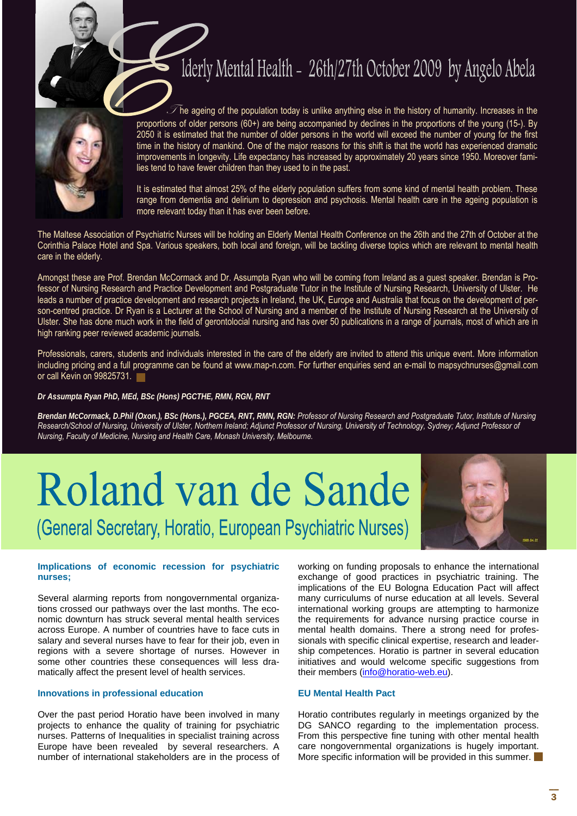### Iderly Mental Health - 26th/27th October 2009 by Angelo Abela



 $\mathscr T$ he ageing of the population today is unlike anything else in the history of humanity. Increases in the proportions of older persons (60+) are being accompanied by declines in the proportions of the young (15-). By 2050 it is estimated that the number of older persons in the world will exceed the number of young for the first time in the history of mankind. One of the major reasons for this shift is that the world has experienced dramatic improvements in longevity. Life expectancy has increased by approximately 20 years since 1950. Moreover families tend to have fewer children than they used to in the past.

It is estimated that almost 25% of the elderly population suffers from some kind of mental health problem. These range from dementia and delirium to depression and psychosis. Mental health care in the ageing population is more relevant today than it has ever been before.

The Maltese Association of Psychiatric Nurses will be holding an Elderly Mental Health Conference on the 26th and the 27th of October at the Corinthia Palace Hotel and Spa. Various speakers, both local and foreign, will be tackling diverse topics which are relevant to mental health care in the elderly.

Amongst these are Prof. Brendan McCormack and Dr. Assumpta Ryan who will be coming from Ireland as a guest speaker. Brendan is Professor of Nursing Research and Practice Development and Postgraduate Tutor in the Institute of Nursing Research, University of Ulster. He leads a number of practice development and research projects in Ireland, the UK, Europe and Australia that focus on the development of person-centred practice. Dr Ryan is a Lecturer at the School of Nursing and a member of the Institute of Nursing Research at the University of Ulster. She has done much work in the field of gerontolocial nursing and has over 50 publications in a range of journals, most of which are in high ranking peer reviewed academic journals.

Professionals, carers, students and individuals interested in the care of the elderly are invited to attend this unique event. More information including pricing and a full programme can be found at www.map-n.com. For further enquiries send an e-mail to mapsychnurses@gmail.com or call Kevin on 99825731.

#### *Dr Assumpta Ryan PhD, MEd, BSc (Hons) PGCTHE, RMN, RGN, RNT*

*Brendan McCormack, D.Phil (Oxon.), BSc (Hons.), PGCEA, RNT, RMN, RGN: Professor of Nursing Research and Postgraduate Tutor, Institute of Nursing Research/School of Nursing, University of Ulster, Northern Ireland; Adjunct Professor of Nursing, University of Technology, Sydney; Adjunct Professor of Nursing, Faculty of Medicine, Nursing and Health Care, Monash University, Melbourne.* 

# Roland van de Sande (General Secretary, Horatio, European Psychiatric Nurses)



#### **Implications of economic recession for psychiatric nurses;**

Several alarming reports from nongovernmental organizations crossed our pathways over the last months. The economic downturn has struck several mental health services across Europe. A number of countries have to face cuts in salary and several nurses have to fear for their job, even in regions with a severe shortage of nurses. However in some other countries these consequences will less dramatically affect the present level of health services.

#### **Innovations in professional education**

Over the past period Horatio have been involved in many projects to enhance the quality of training for psychiatric nurses. Patterns of Inequalities in specialist training across Europe have been revealed by several researchers. A number of international stakeholders are in the process of working on funding proposals to enhance the international exchange of good practices in psychiatric training. The implications of the EU Bologna Education Pact will affect many curriculums of nurse education at all levels. Several international working groups are attempting to harmonize the requirements for advance nursing practice course in mental health domains. There a strong need for professionals with specific clinical expertise, research and leadership competences. Horatio is partner in several education initiatives and would welcome specific suggestions from their members (info@horatio-web.eu).

#### **EU Mental Health Pact**

Horatio contributes regularly in meetings organized by the DG SANCO regarding to the implementation process. From this perspective fine tuning with other mental health care nongovernmental organizations is hugely important. More specific information will be provided in this summer.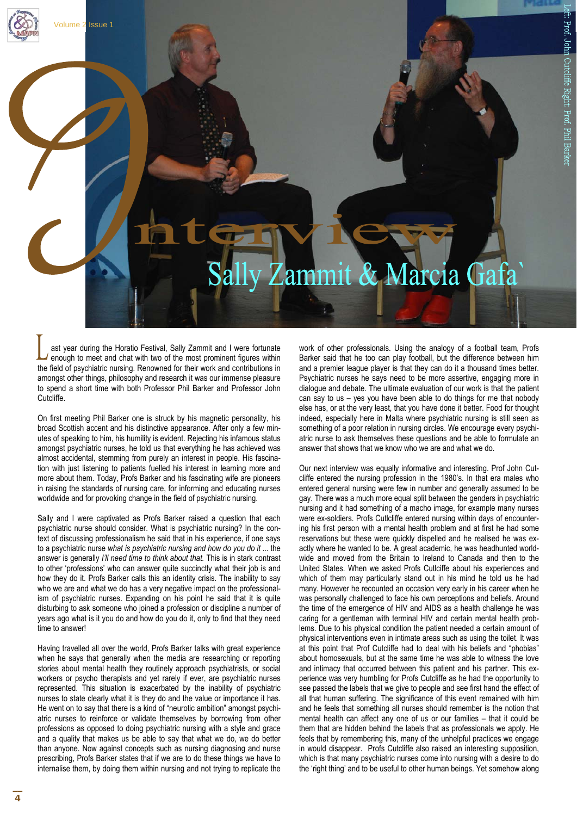#### Zammit & Marcia Gafa

ast year during the Horatio Festival, Sally Zammit and I were fortunate enough to meet and chat with two of the most prominent figures within the field of psychiatric nursing. Renowned for their work and contributions in amongst other things, philosophy and research it was our immense pleasure to spend a short time with both Professor Phil Barker and Professor John Cutcliffe.

Volume 2 Issue 1

On first meeting Phil Barker one is struck by his magnetic personality, his broad Scottish accent and his distinctive appearance. After only a few minutes of speaking to him, his humility is evident. Rejecting his infamous status amongst psychiatric nurses, he told us that everything he has achieved was almost accidental, stemming from purely an interest in people. His fascination with just listening to patients fuelled his interest in learning more and more about them. Today, Profs Barker and his fascinating wife are pioneers in raising the standards of nursing care, for informing and educating nurses worldwide and for provoking change in the field of psychiatric nursing.

Sally and I were captivated as Profs Barker raised a question that each psychiatric nurse should consider. What is psychiatric nursing? In the context of discussing professionalism he said that in his experience, if one says to a psychiatric nurse *what is psychiatric nursing and how do you do it* ... the answer is generally *I'll need time to think about that.* This is in stark contrast to other 'professions' who can answer quite succinctly what their job is and how they do it. Profs Barker calls this an identity crisis. The inability to say who we are and what we do has a very negative impact on the professionalism of psychiatric nurses. Expanding on his point he said that it is quite disturbing to ask someone who joined a profession or discipline a number of years ago what is it you do and how do you do it, only to find that they need time to answer!

Having travelled all over the world, Profs Barker talks with great experience when he says that generally when the media are researching or reporting stories about mental health they routinely approach psychiatrists, or social workers or psycho therapists and yet rarely if ever, are psychiatric nurses represented. This situation is exacerbated by the inability of psychiatric nurses to state clearly what it is they do and the value or importance it has. He went on to say that there is a kind of "neurotic ambition" amongst psychiatric nurses to reinforce or validate themselves by borrowing from other professions as opposed to doing psychiatric nursing with a style and grace and a quality that makes us be able to say that what we do, we do better than anyone. Now against concepts such as nursing diagnosing and nurse prescribing, Profs Barker states that if we are to do these things we have to internalise them, by doing them within nursing and not trying to replicate the work of other professionals. Using the analogy of a football team, Profs Barker said that he too can play football, but the difference between him and a premier league player is that they can do it a thousand times better. Psychiatric nurses he says need to be more assertive, engaging more in dialogue and debate. The ultimate evaluation of our work is that the patient can say to us – yes you have been able to do things for me that nobody else has, or at the very least, that you have done it better. Food for thought indeed, especially here in Malta where psychiatric nursing is still seen as something of a poor relation in nursing circles. We encourage every psychiatric nurse to ask themselves these questions and be able to formulate an answer that shows that we know who we are and what we do.

Our next interview was equally informative and interesting. Prof John Cutcliffe entered the nursing profession in the 1980's. In that era males who entered general nursing were few in number and generally assumed to be gay. There was a much more equal split between the genders in psychiatric nursing and it had something of a macho image, for example many nurses were ex-soldiers. Profs Cutlcliffe entered nursing within days of encountering his first person with a mental health problem and at first he had some reservations but these were quickly dispelled and he realised he was exactly where he wanted to be. A great academic, he was headhunted worldwide and moved from the Britain to Ireland to Canada and then to the United States. When we asked Profs Cutlciffe about his experiences and which of them may particularly stand out in his mind he told us he had many. However he recounted an occasion very early in his career when he was personally challenged to face his own perceptions and beliefs. Around the time of the emergence of HIV and AIDS as a health challenge he was caring for a gentleman with terminal HIV and certain mental health problems. Due to his physical condition the patient needed a certain amount of physical interventions even in intimate areas such as using the toilet. It was at this point that Prof Cutcliffe had to deal with his beliefs and "phobias" about homosexuals, but at the same time he was able to witness the love and intimacy that occurred between this patient and his partner. This experience was very humbling for Profs Cutcliffe as he had the opportunity to see passed the labels that we give to people and see first hand the effect of all that human suffering. The significance of this event remained with him and he feels that something all nurses should remember is the notion that mental health can affect any one of us or our families – that it could be them that are hidden behind the labels that as professionals we apply. He feels that by remembering this, many of the unhelpful practices we engage in would disappear. Profs Cutcliffe also raised an interesting supposition, which is that many psychiatric nurses come into nursing with a desire to do the 'right thing' and to be useful to other human beings. Yet somehow along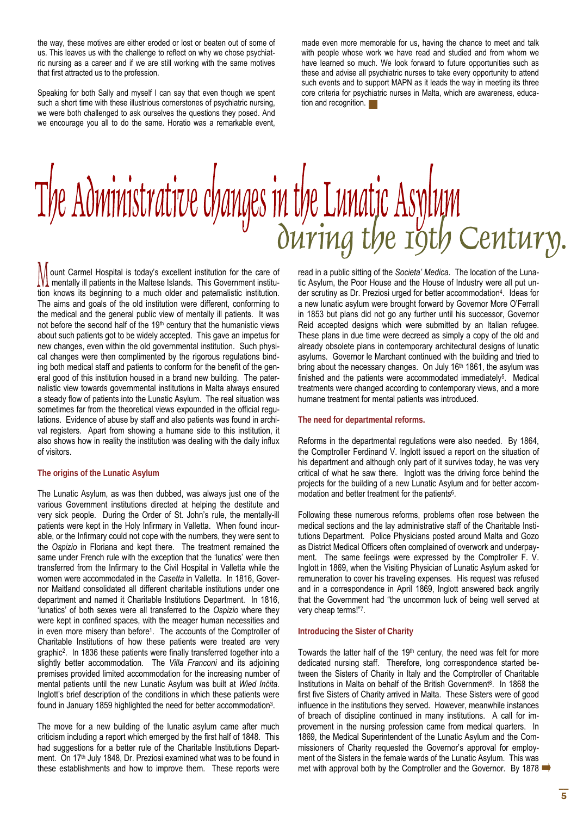the way, these motives are either eroded or lost or beaten out of some of us. This leaves us with the challenge to reflect on why we chose psychiatric nursing as a career and if we are still working with the same motives that first attracted us to the profession.

Speaking for both Sally and myself I can say that even though we spent such a short time with these illustrious cornerstones of psychiatric nursing, we were both challenged to ask ourselves the questions they posed. And we encourage you all to do the same. Horatio was a remarkable event, made even more memorable for us, having the chance to meet and talk with people whose work we have read and studied and from whom we have learned so much. We look forward to future opportunities such as these and advise all psychiatric nurses to take every opportunity to attend such events and to support MAPN as it leads the way in meeting its three core criteria for psychiatric nurses in Malta, which are awareness, education and recognition.

# The Administrative changes in the Luna-<br>
Ouving the roth Century.

ount Carmel Hospital is today's excellent institution for the care of mentally ill patients in the Maltese Islands. This Government institution knows its beginning to a much older and paternalistic institution. The aims and goals of the old institution were different, conforming to the medical and the general public view of mentally ill patients. It was not before the second half of the 19<sup>th</sup> century that the humanistic views about such patients got to be widely accepted. This gave an impetus for new changes, even within the old governmental institution. Such physical changes were then complimented by the rigorous regulations binding both medical staff and patients to conform for the benefit of the general good of this institution housed in a brand new building. The paternalistic view towards governmental institutions in Malta always ensured a steady flow of patients into the Lunatic Asylum. The real situation was sometimes far from the theoretical views expounded in the official regulations. Evidence of abuse by staff and also patients was found in archival registers. Apart from showing a humane side to this institution, it also shows how in reality the institution was dealing with the daily influx of visitors.

#### **The origins of the Lunatic Asylum**

The Lunatic Asylum, as was then dubbed, was always just one of the various Government institutions directed at helping the destitute and very sick people. During the Order of St. John's rule, the mentally-ill patients were kept in the Holy Infirmary in Valletta. When found incurable, or the Infirmary could not cope with the numbers, they were sent to the *Ospizio* in Floriana and kept there. The treatment remained the same under French rule with the exception that the 'lunatics' were then transferred from the Infirmary to the Civil Hospital in Valletta while the women were accommodated in the *Casetta* in Valletta. In 1816, Governor Maitland consolidated all different charitable institutions under one department and named it Charitable Institutions Department. In 1816, 'lunatics' of both sexes were all transferred to the *Ospizio* where they were kept in confined spaces, with the meager human necessities and in even more misery than before1. The accounts of the Comptroller of Charitable Institutions of how these patients were treated are very graphic2. In 1836 these patients were finally transferred together into a slightly better accommodation. The *Villa Franconi* and its adjoining premises provided limited accommodation for the increasing number of mental patients until the new Lunatic Asylum was built at *Wied Inċita*. Inglott's brief description of the conditions in which these patients were found in January 1859 highlighted the need for better accommodation3.

The move for a new building of the lunatic asylum came after much criticism including a report which emerged by the first half of 1848. This had suggestions for a better rule of the Charitable Institutions Department. On 17<sup>th</sup> July 1848, Dr. Preziosi examined what was to be found in these establishments and how to improve them. These reports were tic Asylum, the Poor House and the House of Industry were all put under scrutiny as Dr. Preziosi urged for better accommodation4. Ideas for a new lunatic asylum were brought forward by Governor More O'Ferrall in 1853 but plans did not go any further until his successor, Governor Reid accepted designs which were submitted by an Italian refugee. These plans in due time were decreed as simply a copy of the old and already obsolete plans in contemporary architectural designs of lunatic asylums. Governor le Marchant continued with the building and tried to bring about the necessary changes. On July 16<sup>th</sup> 1861, the asylum was finished and the patients were accommodated immediately<sup>5</sup>. Medical treatments were changed according to contemporary views, and a more humane treatment for mental patients was introduced.

#### **The need for departmental reforms.**

Reforms in the departmental regulations were also needed. By 1864, the Comptroller Ferdinand V. Inglott issued a report on the situation of his department and although only part of it survives today, he was very critical of what he saw there. Inglott was the driving force behind the projects for the building of a new Lunatic Asylum and for better accommodation and better treatment for the patients<sup>6</sup>.

Following these numerous reforms, problems often rose between the medical sections and the lay administrative staff of the Charitable Institutions Department. Police Physicians posted around Malta and Gozo as District Medical Officers often complained of overwork and underpayment. The same feelings were expressed by the Comptroller F. V. Inglott in 1869, when the Visiting Physician of Lunatic Asylum asked for remuneration to cover his traveling expenses. His request was refused and in a correspondence in April 1869, Inglott answered back angrily that the Government had "the uncommon luck of being well served at very cheap terms!"7.

#### **Introducing the Sister of Charity**

Towards the latter half of the 19<sup>th</sup> century, the need was felt for more dedicated nursing staff. Therefore, long correspondence started between the Sisters of Charity in Italy and the Comptroller of Charitable Institutions in Malta on behalf of the British Government<sup>8</sup>. In 1868 the first five Sisters of Charity arrived in Malta. These Sisters were of good influence in the institutions they served. However, meanwhile instances of breach of discipline continued in many institutions. A call for improvement in the nursing profession came from medical quarters. In 1869, the Medical Superintendent of the Lunatic Asylum and the Commissioners of Charity requested the Governor's approval for employment of the Sisters in the female wards of the Lunatic Asylum. This was met with approval both by the Comptroller and the Governor. By 1878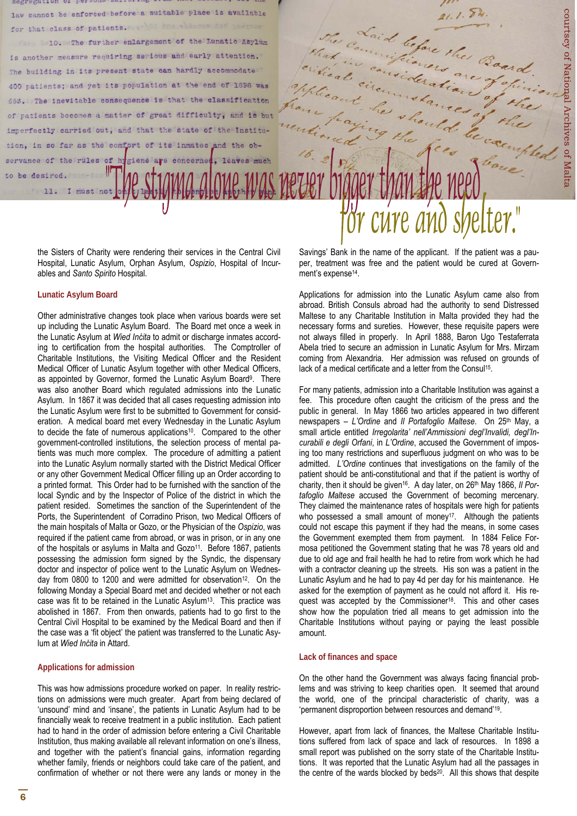

the Sisters of Charity were rendering their services in the Central Civil Hospital, Lunatic Asylum, Orphan Asylum, *Ospizio*, Hospital of Incurables and *Santo Spirito* Hospital.

#### **Lunatic Asylum Board**

Other administrative changes took place when various boards were set up including the Lunatic Asylum Board. The Board met once a week in the Lunatic Asylum at *Wied Inċita* to admit or discharge inmates according to certification from the hospital authorities. The Comptroller of Charitable Institutions, the Visiting Medical Officer and the Resident Medical Officer of Lunatic Asylum together with other Medical Officers, as appointed by Governor, formed the Lunatic Asylum Board<sup>9</sup>. There was also another Board which regulated admissions into the Lunatic Asylum. In 1867 it was decided that all cases requesting admission into the Lunatic Asylum were first to be submitted to Government for consideration. A medical board met every Wednesday in the Lunatic Asylum to decide the fate of numerous applications<sup>10</sup>. Compared to the other government-controlled institutions, the selection process of mental patients was much more complex. The procedure of admitting a patient into the Lunatic Asylum normally started with the District Medical Officer or any other Government Medical Officer filling up an Order according to a printed format. This Order had to be furnished with the sanction of the local Syndic and by the Inspector of Police of the district in which the patient resided. Sometimes the sanction of the Superintendent of the Ports, the Superintendent of Corradino Prison, two Medical Officers of the main hospitals of Malta or Gozo, or the Physician of the *Ospizio*, was required if the patient came from abroad, or was in prison, or in any one of the hospitals or asylums in Malta and Gozo<sup>11</sup>. Before 1867, patients possessing the admission form signed by the Syndic, the dispensary doctor and inspector of police went to the Lunatic Asylum on Wednesday from 0800 to 1200 and were admitted for observation<sup>12</sup>. On the following Monday a Special Board met and decided whether or not each case was fit to be retained in the Lunatic Asylum13. This practice was abolished in 1867. From then onwards, patients had to go first to the Central Civil Hospital to be examined by the Medical Board and then if the case was a 'fit object' the patient was transferred to the Lunatic Asylum at *Wied Inċita* in Attard.

#### **Applications for admission**

This was how admissions procedure worked on paper. In reality restrictions on admissions were much greater. Apart from being declared of 'unsound' mind and 'insane', the patients in Lunatic Asylum had to be financially weak to receive treatment in a public institution. Each patient had to hand in the order of admission before entering a Civil Charitable Institution, thus making available all relevant information on one's illness, and together with the patient's financial gains, information regarding whether family, friends or neighbors could take care of the patient, and confirmation of whether or not there were any lands or money in the Savings' Bank in the name of the applicant. If the patient was a pauper, treatment was free and the patient would be cured at Government's expense<sup>14</sup>.

Applications for admission into the Lunatic Asylum came also from abroad. British Consuls abroad had the authority to send Distressed Maltese to any Charitable Institution in Malta provided they had the necessary forms and sureties. However, these requisite papers were not always filled in properly. In April 1888, Baron Ugo Testaferrata Abela tried to secure an admission in Lunatic Asylum for Mrs. Mirzam coming from Alexandria. Her admission was refused on grounds of lack of a medical certificate and a letter from the Consul<sup>15</sup>.

For many patients, admission into a Charitable Institution was against a fee. This procedure often caught the criticism of the press and the public in general. In May 1866 two articles appeared in two different newspapers – *L'Ordine* and *Il Portafoglio Maltese*. On 25th May, a small article entitled *Irregolarita' nell'Ammissioni degl'Invalidi, degl'Incurabili e degli Orfani*, in *L'Ordine*, accused the Government of imposing too many restrictions and superfluous judgment on who was to be admitted. *L'Ordine* continues that investigations on the family of the patient should be anti-constitutional and that if the patient is worthy of charity, then it should be given<sup>16</sup>. A day later, on 26<sup>th</sup> May 1866, Il Por*tafoglio Maltese* accused the Government of becoming mercenary. They claimed the maintenance rates of hospitals were high for patients who possessed a small amount of money<sup>17</sup>. Although the patients could not escape this payment if they had the means, in some cases the Government exempted them from payment. In 1884 Felice Formosa petitioned the Government stating that he was 78 years old and due to old age and frail health he had to retire from work which he had with a contractor cleaning up the streets. His son was a patient in the Lunatic Asylum and he had to pay 4d per day for his maintenance. He asked for the exemption of payment as he could not afford it. His request was accepted by the Commissioner<sup>18</sup>. This and other cases show how the population tried all means to get admission into the Charitable Institutions without paying or paying the least possible amount.

#### **Lack of finances and space**

On the other hand the Government was always facing financial problems and was striving to keep charities open. It seemed that around the world, one of the principal characteristic of charity, was a 'permanent disproportion between resources and demand'19.

However, apart from lack of finances, the Maltese Charitable Institutions suffered from lack of space and lack of resources. In 1898 a small report was published on the sorry state of the Charitable Institutions. It was reported that the Lunatic Asylum had all the passages in the centre of the wards blocked by beds<sup>20</sup>. All this shows that despite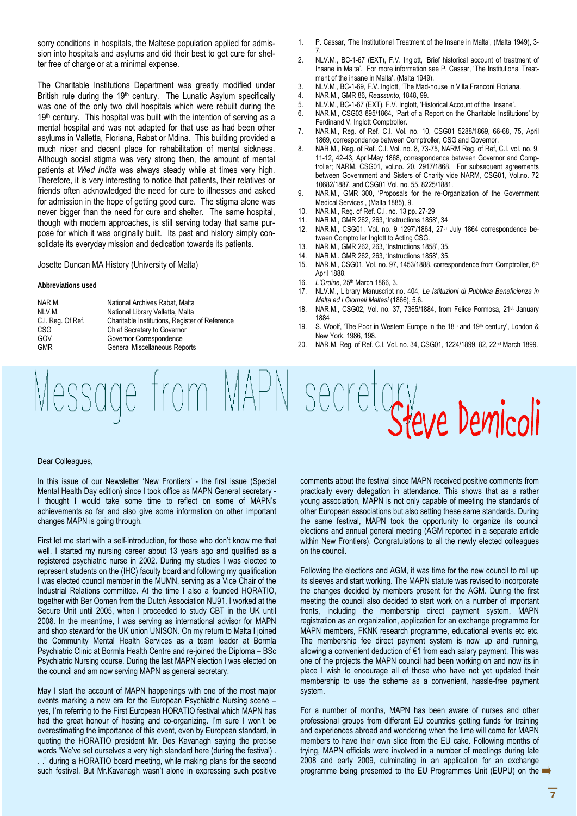sorry conditions in hospitals, the Maltese population applied for admission into hospitals and asylums and did their best to get cure for shelter free of charge or at a minimal expense.

The Charitable Institutions Department was greatly modified under British rule during the 19<sup>th</sup> century. The Lunatic Asylum specifically was one of the only two civil hospitals which were rebuilt during the  $19<sup>th</sup>$  century. This hospital was built with the intention of serving as a mental hospital and was not adapted for that use as had been other asylums in Valletta, Floriana, Rabat or Mdina. This building provided a much nicer and decent place for rehabilitation of mental sickness. Although social stigma was very strong then, the amount of mental patients at *Wied Inċita* was always steady while at times very high. Therefore, it is very interesting to notice that patients, their relatives or friends often acknowledged the need for cure to illnesses and asked for admission in the hope of getting good cure. The stigma alone was never bigger than the need for cure and shelter. The same hospital, though with modern approaches, is still serving today that same purpose for which it was originally built. Its past and history simply consolidate its everyday mission and dedication towards its patients.

#### Josette Duncan MA History (University of Malta)

#### **Abbreviations used**

| NAR M.            | National Archi        |
|-------------------|-----------------------|
| NLV.M.            | <b>National Libra</b> |
| C.I. Reg. Of Ref. | Charitable Ins        |
| CSG               | <b>Chief Secreta</b>  |
| GOV               | Governor Cor          |
| <b>GMR</b>        | General Misc          |

ives Rabat, Malta ary Valletta, Malta stitutions, Register of Reference rv to Governor respondence ellaneous Reports

- 1. P. Cassar, 'The Institutional Treatment of the Insane in Malta', (Malta 1949), 3- 7.
- 2. NLV.M., BC-1-67 (EXT), F.V. Inglott, 'Brief historical account of treatment of Insane in Malta'. For more information see P. Cassar, 'The Institutional Treatment of the insane in Malta'. (Malta 1949).
- 3. NLV.M., BC-1-69, F.V. Inglott, 'The Mad-house in Villa Franconi Floriana.<br>4. NAR M. GMR 86 Reassunto 1848 99
- 4. NAR.M., GMR 86, *Reassunto*, 1848, 99.
- 5. NLV.M., BC-1-67 (EXT), F.V. Inglott, 'Historical Account of the Insane'.
- 6. NAR.M., CSG03 895/1864, 'Part of a Report on the Charitable Institutions' by Ferdinand V. Inglott Comptroller.
- 7. NAR.M., Reg. of Ref. C.I. Vol. no. 10, CSG01 5288/1869, 66-68, 75, April 1869, correspondence between Comptroller, CSG and Governor.
- 8. NAR.M., Reg. of Ref. C.I. Vol. no. 8, 73-75, NARM Reg. of Ref, C.I. vol. no. 9, 11-12, 42-43, April-May 1868, correspondence between Governor and Comptroller; NARM, CSG01, vol.no. 20, 2917/1868. For subsequent agreements between Government and Sisters of Charity vide NARM, CSG01, Vol.no. 72 10682/1887, and CSG01 Vol. no. 55, 8225/1881.
- 9. NAR.M., GMR 300, 'Proposals for the re-Organization of the Government Medical Services', (Malta 1885), 9.
- 10. NAR.M., Reg. of Ref. C.I. no. 13 pp. 27-29
- 11. NAR.M., GMR 262, 263, 'Instructions 1858', 34
- 12. NAR.M., CSG01, Vol. no. 9 1297'/1864, 27<sup>th</sup> July 1864 correspondence between Comptroller Inglott to Acting CSG.
- 13. NAR.M., GMR 262, 263, 'Instructions 1858', 35.
- 14. NAR.M.. GMR 262, 263, 'Instructions 1858', 35.
- 15. NAR.M., CSG01, Vol. no. 97, 1453/1888, correspondence from Comptroller, 6th April 1888.
- 16. *L'Ordine*, 25th March 1866, 3.
- 17. NLV.M., Library Manuscript no. 404, *Le Istituzioni di Pubblica Beneficienza in Malta ed i Giornali Maltesi* (1866), 5,6.
- 18. NAR.M., CSG02, Vol. no. 37, 7365/1884, from Felice Formosa, 21st January 1884
- 19. S. Woolf, 'The Poor in Western Europe in the 18th and 19th century', London & New York, 1986, 198.
- 20. NAR.M, Reg. of Ref. C.I. Vol. no. 34, CSG01, 1224/1899, 82, 22nd March 1899.

# Message from MAPN secretary

#### Dear Colleagues,

In this issue of our Newsletter 'New Frontiers' - the first issue (Special Mental Health Day edition) since I took office as MAPN General secretary - I thought I would take some time to reflect on some of MAPN's achievements so far and also give some information on other important changes MAPN is going through.

First let me start with a self-introduction, for those who don't know me that well. I started my nursing career about 13 years ago and qualified as a registered psychiatric nurse in 2002. During my studies I was elected to represent students on the (IHC) faculty board and following my qualification I was elected council member in the MUMN, serving as a Vice Chair of the Industrial Relations committee. At the time I also a founded HORATIO, together with Ber Oomen from the Dutch Association NU91. I worked at the Secure Unit until 2005, when I proceeded to study CBT in the UK until 2008. In the meantime, I was serving as international advisor for MAPN and shop steward for the UK union UNISON. On my return to Malta I joined the Community Mental Health Services as a team leader at Bormla Psychiatric Clinic at Bormla Health Centre and re-joined the Diploma – BSc Psychiatric Nursing course. During the last MAPN election I was elected on the council and am now serving MAPN as general secretary.

May I start the account of MAPN happenings with one of the most major events marking a new era for the European Psychiatric Nursing scene – yes, I'm referring to the First European HORATIO festival which MAPN has had the great honour of hosting and co-organizing. I'm sure I won't be overestimating the importance of this event, even by European standard, in quoting the HORATIO president Mr. Des Kavanagh saying the precise words "We've set ourselves a very high standard here (during the festival) . . ." during a HORATIO board meeting, while making plans for the second such festival. But Mr.Kavanagh wasn't alone in expressing such positive

comments about the festival since MAPN received positive comments from practically every delegation in attendance. This shows that as a rather young association, MAPN is not only capable of meeting the standards of other European associations but also setting these same standards. During the same festival, MAPN took the opportunity to organize its council elections and annual general meeting (AGM reported in a separate article within New Frontiers). Congratulations to all the newly elected colleagues on the council.

Following the elections and AGM, it was time for the new council to roll up its sleeves and start working. The MAPN statute was revised to incorporate the changes decided by members present for the AGM. During the first meeting the council also decided to start work on a number of important fronts, including the membership direct payment system, MAPN registration as an organization, application for an exchange programme for MAPN members, FKNK research programme, educational events etc etc. The membership fee direct payment system is now up and running, allowing a convenient deduction of €1 from each salary payment. This was one of the projects the MAPN council had been working on and now its in place I wish to encourage all of those who have not yet updated their membership to use the scheme as a convenient, hassle-free payment system.

For a number of months, MAPN has been aware of nurses and other professional groups from different EU countries getting funds for training and experiences abroad and wondering when the time will come for MAPN members to have their own slice from the EU cake. Following months of trying, MAPN officials were involved in a number of meetings during late 2008 and early 2009, culminating in an application for an exchange programme being presented to the EU Programmes Unit (EUPU) on the